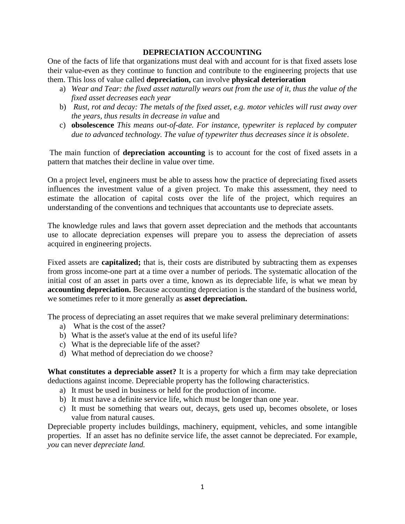## **DEPRECIATION ACCOUNTING**

One of the facts of life that organizations must deal with and account for is that fixed assets lose their value-even as they continue to function and contribute to the engineering projects that use them. This loss of value called **depreciation,** can involve **physical deterioration**

- a) *Wear and Tear: the fixed asset naturally wears out from the use of it, thus the value of the fixed asset decreases each year*
- b) *Rust, rot and decay: The metals of the fixed asset, e.g. motor vehicles will rust away over the years, thus results in decrease in value* and
- c) **obsolescence** *This means out-of-date. For instance, typewriter is replaced by computer due to advanced technology. The value of typewriter thus decreases since it is obsolete*.

The main function of **depreciation accounting** is to account for the cost of fixed assets in a pattern that matches their decline in value over time.

On a project level, engineers must be able to assess how the practice of depreciating fixed assets influences the investment value of a given project. To make this assessment, they need to estimate the allocation of capital costs over the life of the project, which requires an understanding of the conventions and techniques that accountants use to depreciate assets.

The knowledge rules and laws that govern asset depreciation and the methods that accountants use to allocate depreciation expenses will prepare you to assess the depreciation of assets acquired in engineering projects.

Fixed assets are **capitalized;** that is, their costs are distributed by subtracting them as expenses from gross income-one part at a time over a number of periods. The systematic allocation of the initial cost of an asset in parts over a time, known as its depreciable life, is what we mean by **accounting depreciation.** Because accounting depreciation is the standard of the business world, we sometimes refer to it more generally as **asset depreciation.**

The process of depreciating an asset requires that we make several preliminary determinations:

- a) What is the cost of the asset?
- b) What is the asset's value at the end of its useful life?
- c) What is the depreciable life of the asset?
- d) What method of depreciation do we choose?

**What constitutes a depreciable asset?** It is a property for which a firm may take depreciation deductions against income. Depreciable property has the following characteristics.

- a) It must be used in business or held for the production of income.
- b) It must have a definite service life, which must be longer than one year.
- c) It must be something that wears out, decays, gets used up, becomes obsolete, or loses value from natural causes.

Depreciable property includes buildings, machinery, equipment, vehicles, and some intangible properties. If an asset has no definite service life, the asset cannot be depreciated. For example, *you* can never *depreciate land.*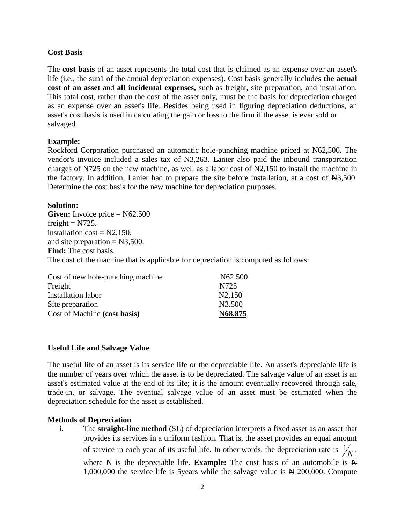## **Cost Basis**

The **cost basis** of an asset represents the total cost that is claimed as an expense over an asset's life (i.e., the sun1 of the annual depreciation expenses). Cost basis generally includes **the actual cost of an asset** and **all incidental expenses,** such as freight, site preparation, and installation. This total cost, rather than the cost of the asset only, must be the basis for depreciation charged as an expense over an asset's life. Besides being used in figuring depreciation deductions, an asset's cost basis is used in calculating the gain or loss to the firm if the asset is ever sold or salvaged.

## **Example:**

Rockford Corporation purchased an automatic hole-punching machine priced at N62,500. The vendor's invoice included a sales tax of N3,263. Lanier also paid the inbound transportation charges of N725 on the new machine, as well as a labor cost of N2,150 to install the machine in the factory. In addition, Lanier had to prepare the site before installation, at a cost of N3,500. Determine the cost basis for the new machine for depreciation purposes.

## **Solution:**

Given: Invoice price =  $N62.500$ freight =  $N725$ . installation  $cost = N2,150$ . and site preparation  $= N3,500$ . **Find:** The cost basis. The cost of the machine that is applicable for depreciation is computed as follows:

| Cost of new hole-punching machine | N <sub>6</sub> 2.500 |
|-----------------------------------|----------------------|
| Freight                           | N725                 |
| <b>Installation labor</b>         | N <sub>2</sub> ,150  |
| Site preparation                  | N3.500               |
| Cost of Machine (cost basis)      | N68.875              |

# **Useful Life and Salvage Value**

The useful life of an asset is its service life or the depreciable life. An asset's depreciable life is the number of years over which the asset is to be depreciated. The salvage value of an asset is an asset's estimated value at the end of its life; it is the amount eventually recovered through sale, trade-in, or salvage. The eventual salvage value of an asset must be estimated when the depreciation schedule for the asset is established.

# **Methods of Depreciation**

i. The **straight-line method** (SL) of depreciation interprets a fixed asset as an asset that provides its services in a uniform fashion. That is, the asset provides an equal amount of service in each year of its useful life. In other words, the depreciation rate is  $\frac{1}{N}$ ,

where N is the depreciable life. **Example:** The cost basis of an automobile is N 1,000,000 the service life is 5years while the salvage value is N 200,000. Compute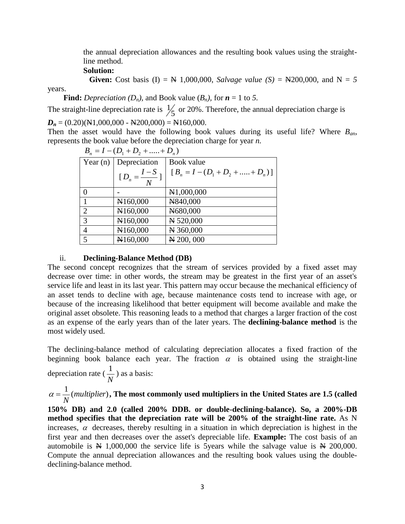the annual depreciation allowances and the resulting book values using the straightline method.

#### **Solution:**

**Given:** Cost basis (I) = N 1,000,000, *Salvage value*  $(S)$  = N200,000, and N = 5

years.

 **Find:** Depreciation ( $D_n$ ), and Book value ( $B_n$ ), for  $n = 1$  to 5.

The straight-line depreciation rate is  $\frac{1}{5}$  $\frac{1}{6}$  or 20%. Therefore, the annual depreciation charge is  $D_n = (0.20)(N1,000,000 - N200,000) = N160,000$ .

Then the asset would have the following book values during its useful life? Where *Ban,*  represents the book value before the depreciation charge for year *n.*

| $B_n = I - (D_1 + D_2 + \dots + D_n)$ |                           |                                         |  |
|---------------------------------------|---------------------------|-----------------------------------------|--|
|                                       | Year $(n)$ Depreciation   | Book value                              |  |
|                                       | $[D_n = \frac{I - S}{N}]$ | $[B_n = I - (D_1 + D_2 + \dots + D_n)]$ |  |
| $\theta$                              |                           | N <sub>1</sub> ,000,000                 |  |
|                                       | N <sub>160</sub> ,000     | N840,000                                |  |
| $\overline{2}$                        | N160,000                  | N680,000                                |  |
| 3                                     | N160,000                  | N 520,000                               |  |
| $\overline{4}$                        | N160,000                  | N 360,000                               |  |
| 5                                     | N160,000                  | N 200,000                               |  |

### ii. **Declining-Balance Method (DB)**

*N*

The second concept recognizes that the stream of services provided by a fixed asset may decrease over time: in other words, the stream may be greatest in the first year of an asset's service life and least in its last year. This pattern may occur because the mechanical efficiency of an asset tends to decline with age, because maintenance costs tend to increase with age, or because of the increasing likelihood that better equipment will become available and make the original asset obsolete. This reasoning leads to a method that charges a larger fraction of the cost as an expense of the early years than of the later years. The **declining-balance method** is the most widely used.

The declining-balance method of calculating depreciation allocates a fixed fraction of the beginning book balance each year. The fraction  $\alpha$  is obtained using the straight-line depreciation rate (  $\frac{1}{\sqrt{2}}$ ) as a basis:

 $\frac{1}{\sqrt{m}}$ (*multiplier*) *N*  $\alpha = \frac{1}{N}$ (*multiplier*), The most commonly used multipliers in the United States are 1.5 (called

**150% DB) and 2.0 (called 200% DDB. or double-declining-balance). So, a 200%-DB method specifies that the depreciation rate will be 200% of the straight-line rate.** As N increases,  $\alpha$  decreases, thereby resulting in a situation in which depreciation is highest in the first year and then decreases over the asset's depreciable life. **Example:** The cost basis of an automobile is N 1,000,000 the service life is 5years while the salvage value is N 200,000. Compute the annual depreciation allowances and the resulting book values using the doubledeclining-balance method.